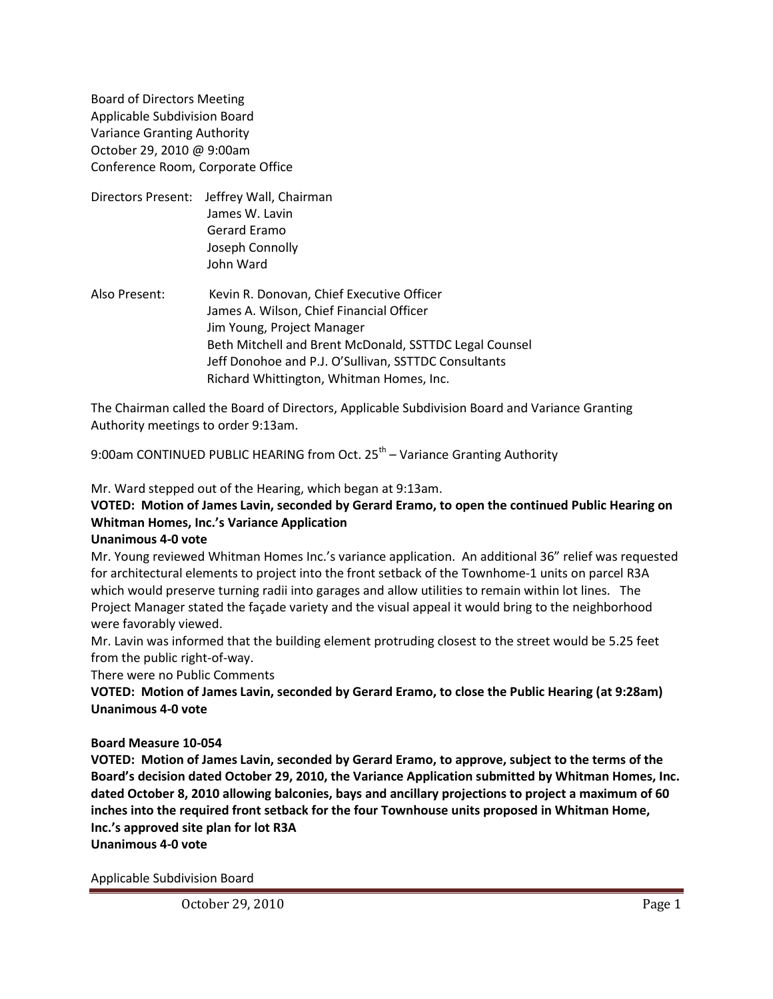Board of Directors Meeting Applicable Subdivision Board Variance Granting Authority October 29, 2010 @ 9:00am Conference Room, Corporate Office

- Directors Present: Jeffrey Wall, Chairman James W. Lavin Gerard Eramo Joseph Connolly John Ward
- Also Present: Kevin R. Donovan, Chief Executive Officer James A. Wilson, Chief Financial Officer Jim Young, Project Manager Beth Mitchell and Brent McDonald, SSTTDC Legal Counsel Jeff Donohoe and P.J. O'Sullivan, SSTTDC Consultants Richard Whittington, Whitman Homes, Inc.

The Chairman called the Board of Directors, Applicable Subdivision Board and Variance Granting Authority meetings to order 9:13am.

9:00am CONTINUED PUBLIC HEARING from Oct. 25<sup>th</sup> – Variance Granting Authority

Mr. Ward stepped out of the Hearing, which began at 9:13am.

## **VOTED: Motion of James Lavin, seconded by Gerard Eramo, to open the continued Public Hearing on Whitman Homes, Inc.'s Variance Application**

#### **Unanimous 4-0 vote**

Mr. Young reviewed Whitman Homes Inc.'s variance application. An additional 36" relief was requested for architectural elements to project into the front setback of the Townhome-1 units on parcel R3A which would preserve turning radii into garages and allow utilities to remain within lot lines. The Project Manager stated the façade variety and the visual appeal it would bring to the neighborhood were favorably viewed.

Mr. Lavin was informed that the building element protruding closest to the street would be 5.25 feet from the public right-of-way.

There were no Public Comments

**VOTED: Motion of James Lavin, seconded by Gerard Eramo, to close the Public Hearing (at 9:28am) Unanimous 4-0 vote**

#### **Board Measure 10-054**

**VOTED: Motion of James Lavin, seconded by Gerard Eramo, to approve, subject to the terms of the Board's decision dated October 29, 2010, the Variance Application submitted by Whitman Homes, Inc. dated October 8, 2010 allowing balconies, bays and ancillary projections to project a maximum of 60 inches into the required front setback for the four Townhouse units proposed in Whitman Home, Inc.'s approved site plan for lot R3A**

**Unanimous 4-0 vote**

Applicable Subdivision Board